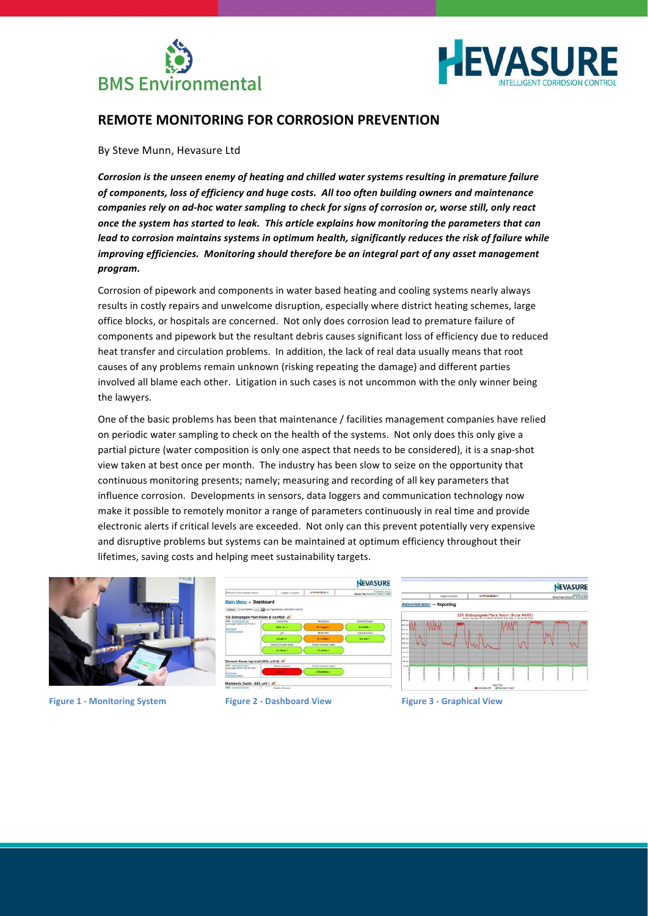



# **REMOTE MONITORING FOR CORROSION PREVENTION**

## By Steve Munn, Hevasure Ltd

*Corrosion is the unseen enemy of heating and chilled water systems resulting in premature failure* of components, loss of efficiency and huge costs. All too often building owners and maintenance *companies rely on ad-hoc water sampling to check for signs of corrosion or, worse still, only react* once the system has started to leak. This article explains how monitoring the parameters that can *lead to corrosion maintains systems in optimum health, significantly reduces the risk of failure while improving efficiencies. Monitoring should therefore be an integral part of any asset management program.*

Corrosion of pipework and components in water based heating and cooling systems nearly always results in costly repairs and unwelcome disruption, especially where district heating schemes, large office blocks, or hospitals are concerned. Not only does corrosion lead to premature failure of components and pipework but the resultant debris causes significant loss of efficiency due to reduced heat transfer and circulation problems. In addition, the lack of real data usually means that root causes of any problems remain unknown (risking repeating the damage) and different parties involved all blame each other. Litigation in such cases is not uncommon with the only winner being the lawyers.

One of the basic problems has been that maintenance / facilities management companies have relied on periodic water sampling to check on the health of the systems. Not only does this only give a partial picture (water composition is only one aspect that needs to be considered), it is a snap-shot view taken at best once per month. The industry has been slow to seize on the opportunity that continuous monitoring presents; namely; measuring and recording of all key parameters that influence corrosion. Developments in sensors, data loggers and communication technology now make it possible to remotely monitor a range of parameters continuously in real time and provide electronic alerts if critical levels are exceeded. Not only can this prevent potentially very expensive and disruptive problems but systems can be maintained at optimum efficiency throughout their lifetimes, saving costs and helping meet sustainability targets.



**Figure 1 - Monitoring System Figure 2 - Dashboard View Figure 3 - Graphical View**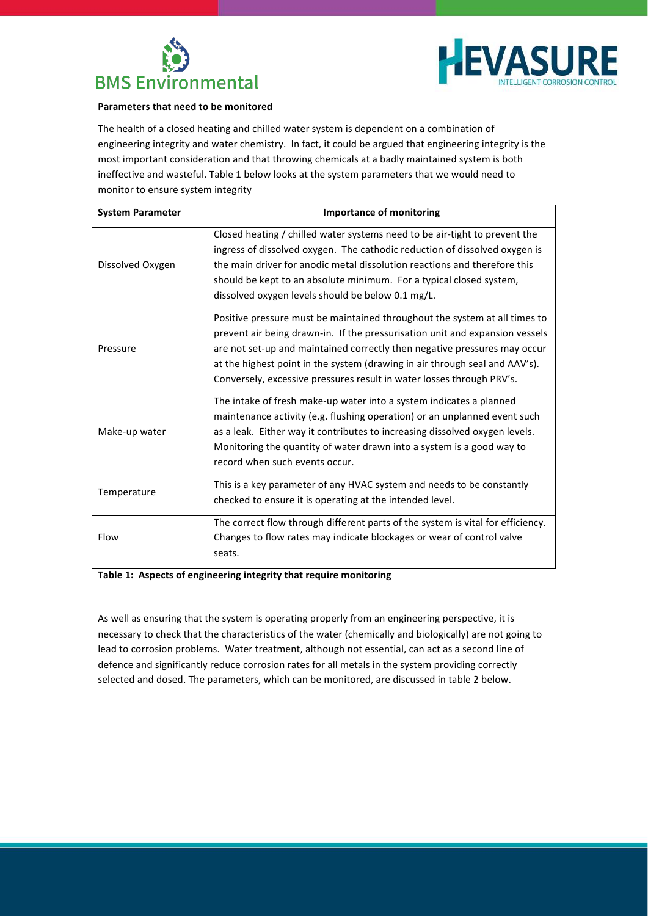



## **Parameters that need to be monitored**

The health of a closed heating and chilled water system is dependent on a combination of engineering integrity and water chemistry. In fact, it could be argued that engineering integrity is the most important consideration and that throwing chemicals at a badly maintained system is both ineffective and wasteful. Table 1 below looks at the system parameters that we would need to monitor to ensure system integrity

| <b>System Parameter</b> | <b>Importance of monitoring</b>                                                                                                                                                                                                                                                                                                                                                                 |
|-------------------------|-------------------------------------------------------------------------------------------------------------------------------------------------------------------------------------------------------------------------------------------------------------------------------------------------------------------------------------------------------------------------------------------------|
| Dissolved Oxygen        | Closed heating / chilled water systems need to be air-tight to prevent the<br>ingress of dissolved oxygen. The cathodic reduction of dissolved oxygen is<br>the main driver for anodic metal dissolution reactions and therefore this<br>should be kept to an absolute minimum. For a typical closed system,<br>dissolved oxygen levels should be below 0.1 mg/L.                               |
| Pressure                | Positive pressure must be maintained throughout the system at all times to<br>prevent air being drawn-in. If the pressurisation unit and expansion vessels<br>are not set-up and maintained correctly then negative pressures may occur<br>at the highest point in the system (drawing in air through seal and AAV's).<br>Conversely, excessive pressures result in water losses through PRV's. |
| Make-up water           | The intake of fresh make-up water into a system indicates a planned<br>maintenance activity (e.g. flushing operation) or an unplanned event such<br>as a leak. Either way it contributes to increasing dissolved oxygen levels.<br>Monitoring the quantity of water drawn into a system is a good way to<br>record when such events occur.                                                      |
| Temperature             | This is a key parameter of any HVAC system and needs to be constantly<br>checked to ensure it is operating at the intended level.                                                                                                                                                                                                                                                               |
| Flow                    | The correct flow through different parts of the system is vital for efficiency.<br>Changes to flow rates may indicate blockages or wear of control valve<br>seats.                                                                                                                                                                                                                              |

Table 1: Aspects of engineering integrity that require monitoring

As well as ensuring that the system is operating properly from an engineering perspective, it is necessary to check that the characteristics of the water (chemically and biologically) are not going to lead to corrosion problems. Water treatment, although not essential, can act as a second line of defence and significantly reduce corrosion rates for all metals in the system providing correctly selected and dosed. The parameters, which can be monitored, are discussed in table 2 below.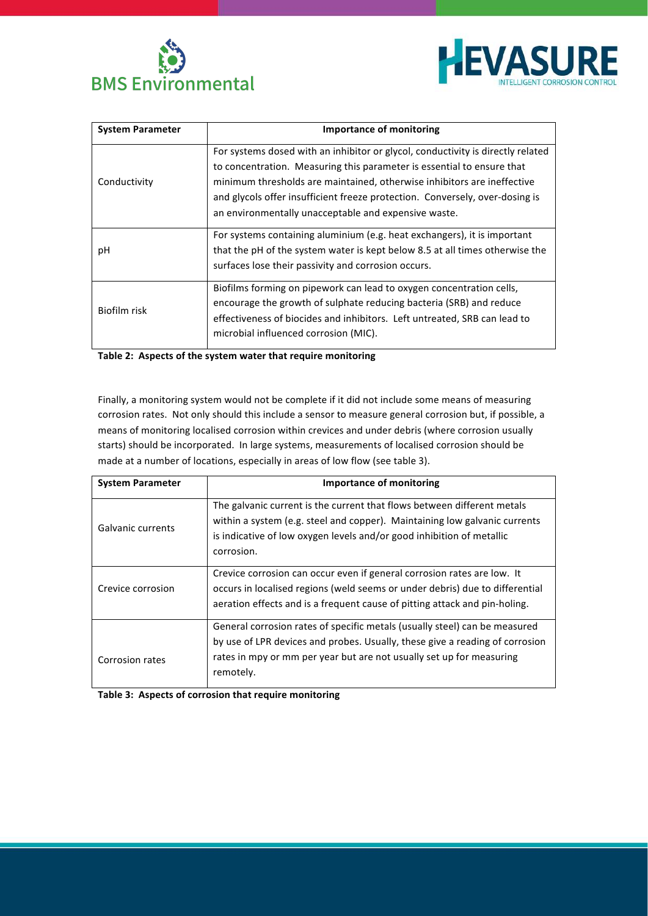



| <b>System Parameter</b> | Importance of monitoring                                                                                                                                                                                                                                                                                                                                                     |
|-------------------------|------------------------------------------------------------------------------------------------------------------------------------------------------------------------------------------------------------------------------------------------------------------------------------------------------------------------------------------------------------------------------|
| Conductivity            | For systems dosed with an inhibitor or glycol, conductivity is directly related<br>to concentration. Measuring this parameter is essential to ensure that<br>minimum thresholds are maintained, otherwise inhibitors are ineffective<br>and glycols offer insufficient freeze protection. Conversely, over-dosing is<br>an environmentally unacceptable and expensive waste. |
| рH                      | For systems containing aluminium (e.g. heat exchangers), it is important<br>that the pH of the system water is kept below 8.5 at all times otherwise the<br>surfaces lose their passivity and corrosion occurs.                                                                                                                                                              |
| Biofilm risk            | Biofilms forming on pipework can lead to oxygen concentration cells,<br>encourage the growth of sulphate reducing bacteria (SRB) and reduce<br>effectiveness of biocides and inhibitors. Left untreated, SRB can lead to<br>microbial influenced corrosion (MIC).                                                                                                            |

Table 2: Aspects of the system water that require monitoring

Finally, a monitoring system would not be complete if it did not include some means of measuring corrosion rates. Not only should this include a sensor to measure general corrosion but, if possible, a means of monitoring localised corrosion within crevices and under debris (where corrosion usually starts) should be incorporated. In large systems, measurements of localised corrosion should be made at a number of locations, especially in areas of low flow (see table 3).

| <b>System Parameter</b> | <b>Importance of monitoring</b>                                                                                                                                                                                                                 |
|-------------------------|-------------------------------------------------------------------------------------------------------------------------------------------------------------------------------------------------------------------------------------------------|
| Galvanic currents       | The galvanic current is the current that flows between different metals<br>within a system (e.g. steel and copper). Maintaining low galvanic currents<br>is indicative of low oxygen levels and/or good inhibition of metallic<br>corrosion.    |
| Crevice corrosion       | Crevice corrosion can occur even if general corrosion rates are low. It<br>occurs in localised regions (weld seems or under debris) due to differential<br>aeration effects and is a frequent cause of pitting attack and pin-holing.           |
| Corrosion rates         | General corrosion rates of specific metals (usually steel) can be measured<br>by use of LPR devices and probes. Usually, these give a reading of corrosion<br>rates in mpy or mm per year but are not usually set up for measuring<br>remotely. |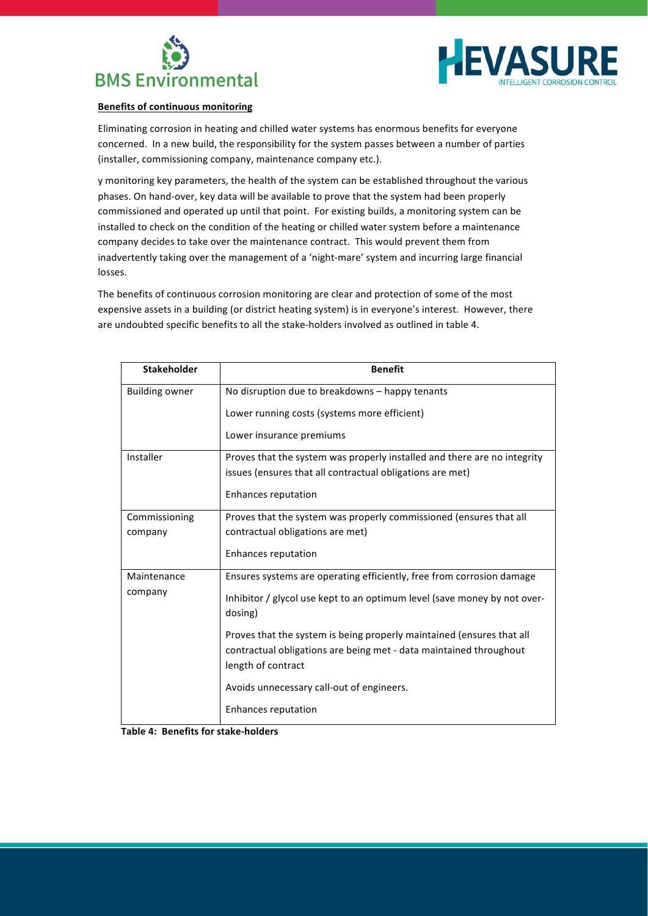



## **Benefits of continuous monitoring**

Eliminating corrosion in heating and chilled water systems has enormous benefits for everyone concerned. In a new build, the responsibility for the system passes between a number of parties (installer, commissioning company, maintenance company etc.).

y monitoring key parameters, the health of the system can be established throughout the various phases. On hand-over, key data will be available to prove that the system had been properly commissioned and operated up until that point. For existing builds, a monitoring system can be installed to check on the condition of the heating or chilled water system before a maintenance company decides to take over the maintenance contract. This would prevent them from inadvertently taking over the management of a 'night-mare' system and incurring large financial losses. 

The benefits of continuous corrosion monitoring are clear and protection of some of the most expensive assets in a building (or district heating system) is in everyone's interest. However, there are undoubted specific benefits to all the stake-holders involved as outlined in table 4.

| <b>Stakeholder</b>     | <b>Benefit</b>                                                                                                                              |
|------------------------|---------------------------------------------------------------------------------------------------------------------------------------------|
| <b>Building owner</b>  | No disruption due to breakdowns - happy tenants                                                                                             |
|                        | Lower running costs (systems more efficient)                                                                                                |
|                        | Lower insurance premiums                                                                                                                    |
| Installer              | Proves that the system was properly installed and there are no integrity                                                                    |
|                        | issues (ensures that all contractual obligations are met)                                                                                   |
|                        | Enhances reputation                                                                                                                         |
| Commissioning          | Proves that the system was properly commissioned (ensures that all                                                                          |
| company                | contractual obligations are met)                                                                                                            |
|                        | Enhances reputation                                                                                                                         |
| Maintenance<br>company | Ensures systems are operating efficiently, free from corrosion damage                                                                       |
|                        | Inhibitor / glycol use kept to an optimum level (save money by not over-<br>dosing)                                                         |
|                        | Proves that the system is being properly maintained (ensures that all<br>contractual obligations are being met - data maintained throughout |
|                        | length of contract                                                                                                                          |
|                        | Avoids unnecessary call-out of engineers.                                                                                                   |
|                        | Enhances reputation                                                                                                                         |

**Table 4: Benefits for stake-holders**